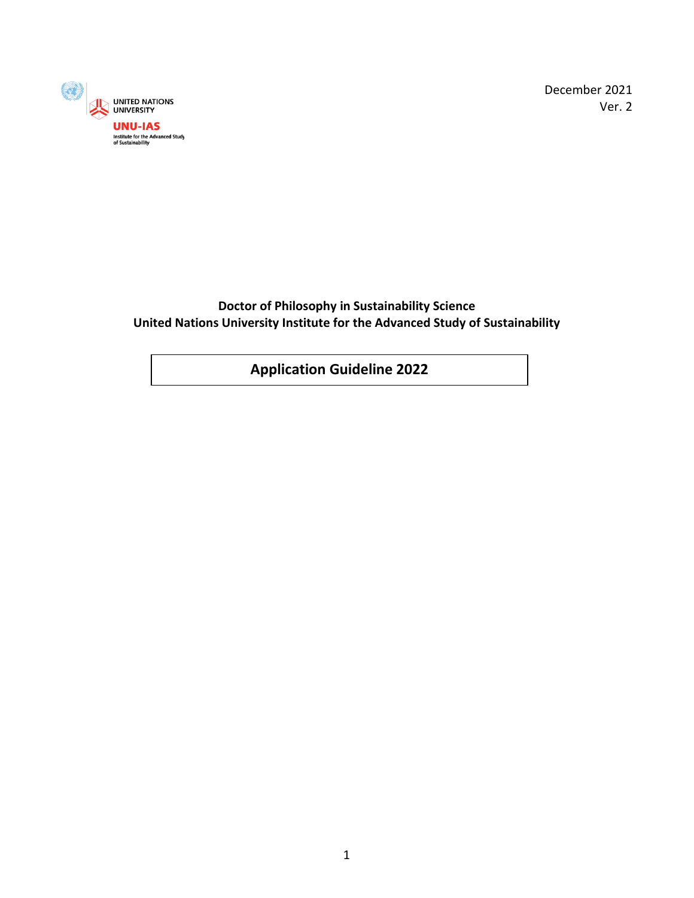

December 2021 Ver. 2

**Doctor of Philosophy in Sustainability Science United Nations University Institute for the Advanced Study of Sustainability**

**Application Guideline 2022**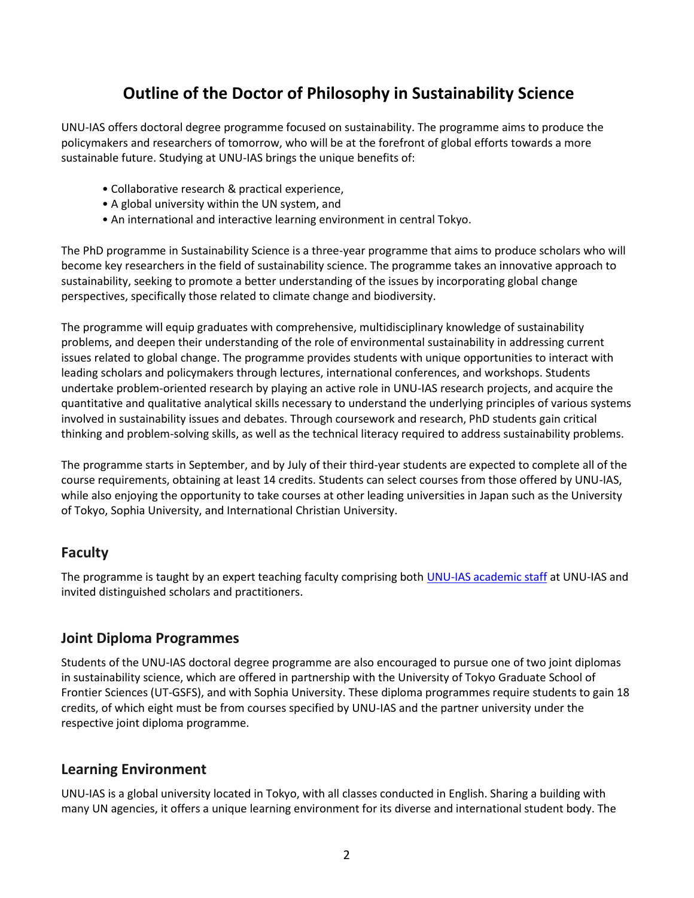# **Outline of the Doctor of Philosophy in Sustainability Science**

UNU-IAS offers doctoral degree programme focused on sustainability. The programme aims to produce the policymakers and researchers of tomorrow, who will be at the forefront of global efforts towards a more sustainable future. Studying at UNU-IAS brings the unique benefits of:

- Collaborative research & practical experience,
- A global university within the UN system, and
- An international and interactive learning environment in central Tokyo.

The PhD programme in Sustainability Science is a three-year programme that aims to produce scholars who will become key researchers in the field of sustainability science. The programme takes an innovative approach to sustainability, seeking to promote a better understanding of the issues by incorporating global change perspectives, specifically those related to climate change and biodiversity.

The programme will equip graduates with comprehensive, multidisciplinary knowledge of sustainability problems, and deepen their understanding of the role of environmental sustainability in addressing current issues related to global change. The programme provides students with unique opportunities to interact with leading scholars and policymakers through lectures, international conferences, and workshops. Students undertake problem-oriented research by playing an active role in UNU-IAS research projects, and acquire the quantitative and qualitative analytical skills necessary to understand the underlying principles of various systems involved in sustainability issues and debates. Through coursework and research, PhD students gain critical thinking and problem-solving skills, as well as the technical literacy required to address sustainability problems.

The programme starts in September, and by July of their third-year students are expected to complete all of the course requirements, obtaining at least 14 credits. Students can select courses from those offered by UNU-IAS, while also enjoying the opportunity to take courses at other leading universities in Japan such as the University of Tokyo, Sophia University, and International Christian University.

# **Faculty**

The programme is taught by an expert teaching faculty comprising both [UNU-IAS academic staff](https://ias.unu.edu/en/admissions/degrees/phd-in-sustainability-science-2022.html#overview) at UNU-IAS and invited distinguished scholars and practitioners.

#### **Joint Diploma Programmes**

Students of the UNU-IAS doctoral degree programme are also encouraged to pursue one of two joint diplomas in sustainability science, which are offered in partnership with the University of Tokyo Graduate School of Frontier Sciences (UT-GSFS), and with Sophia University. These diploma programmes require students to gain 18 credits, of which eight must be from courses specified by UNU-IAS and the partner university under the respective joint diploma programme.

# **Learning Environment**

UNU-IAS is a global university located in Tokyo, with all classes conducted in English. Sharing a building with many UN agencies, it offers a unique learning environment for its diverse and international student body. The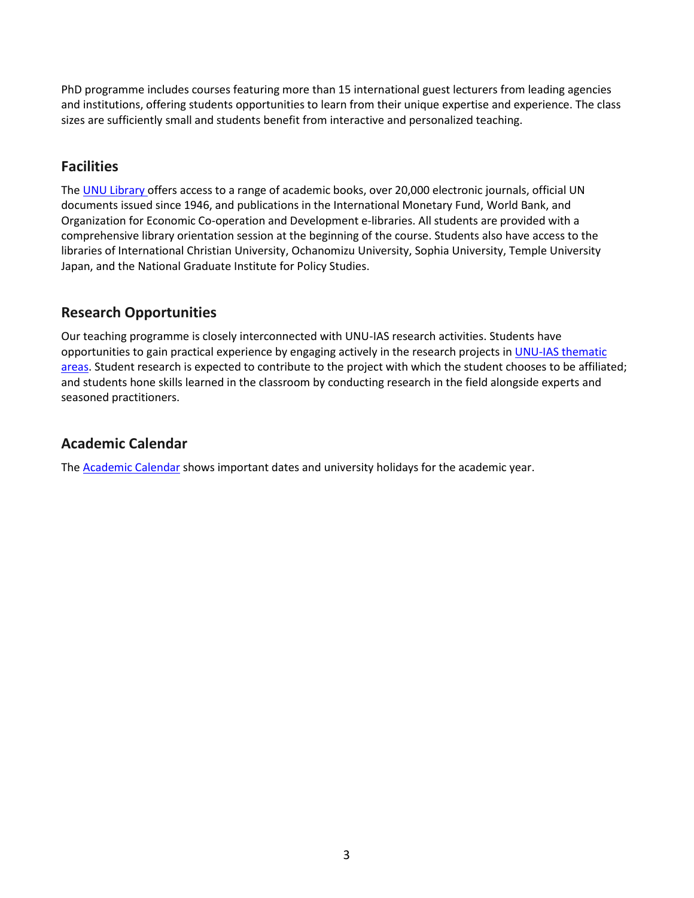PhD programme includes courses featuring more than 15 international guest lecturers from leading agencies and institutions, offering students opportunities to learn from their unique expertise and experience. The class sizes are sufficiently small and students benefit from interactive and personalized teaching.

## **Facilities**

The [UNU Library](https://unu.edu/about/unu-services/library) offers access to a range of academic books, over 20,000 electronic journals, official UN documents issued since 1946, and publications in the International Monetary Fund, World Bank, and Organization for Economic Co-operation and Development e-libraries. All students are provided with a comprehensive library orientation session at the beginning of the course. Students also have access to the libraries of International Christian University, Ochanomizu University, Sophia University, Temple University Japan, and the National Graduate Institute for Policy Studies.

# **Research Opportunities**

Our teaching programme is closely interconnected with UNU-IAS research activities. Students have opportunities to gain practical experience by engaging actively in the research projects in UNU-IAS thematic [areas.](https://ias.unu.edu/en/about-unu-ias/thematic-areas) Student research is expected to contribute to the project with which the student chooses to be affiliated; and students hone skills learned in the classroom by conducting research in the field alongside experts and seasoned practitioners.

# **Academic Calendar**

The **[Academic Calendar](https://ias.unu.edu/en/academic-calendar)** shows important dates and university holidays for the academic year.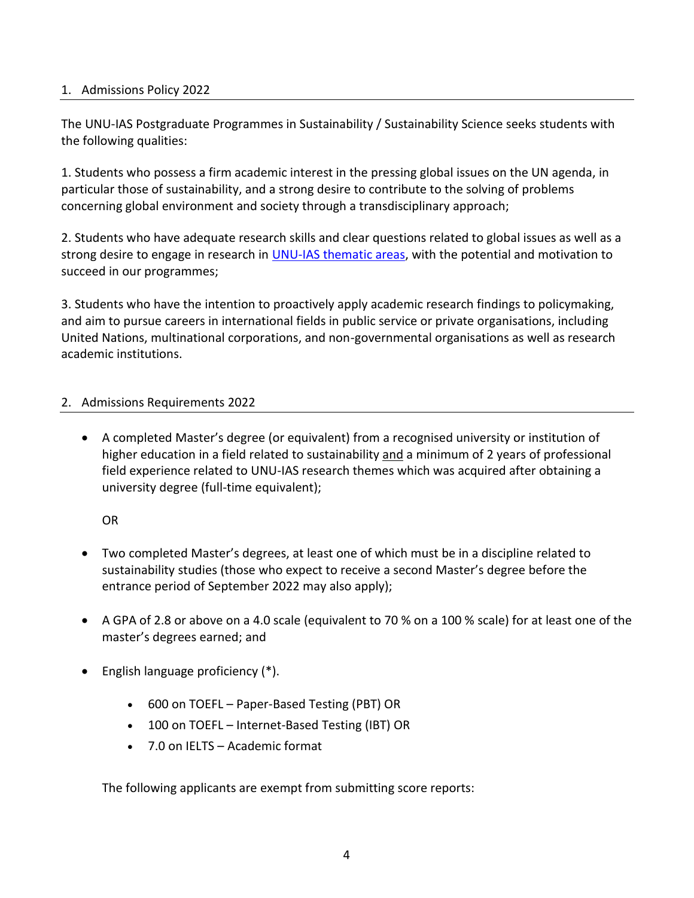#### 1. Admissions Policy 2022

The UNU-IAS Postgraduate Programmes in Sustainability / Sustainability Science seeks students with the following qualities:

1. Students who possess a firm academic interest in the pressing global issues on the UN agenda, in particular those of sustainability, and a strong desire to contribute to the solving of problems concerning global environment and society through a transdisciplinary approach;

2. Students who have adequate research skills and clear questions related to global issues as well as a strong desire to engage in research in [UNU-IAS thematic areas,](https://ias.unu.edu/en/about-unu-ias/thematic-areas) with the potential and motivation to succeed in our programmes;

3. Students who have the intention to proactively apply academic research findings to policymaking, and aim to pursue careers in international fields in public service or private organisations, including United Nations, multinational corporations, and non-governmental organisations as well as research academic institutions.

#### 2. Admissions Requirements 2022

• A completed Master's degree (or equivalent) from a recognised university or institution of higher education in a field related to sustainability and a minimum of 2 years of professional field experience related to UNU-IAS research themes which was acquired after obtaining a university degree (full-time equivalent);

OR

- Two completed Master's degrees, at least one of which must be in a discipline related to sustainability studies (those who expect to receive a second Master's degree before the entrance period of September 2022 may also apply);
- A GPA of 2.8 or above on a 4.0 scale (equivalent to 70 % on a 100 % scale) for at least one of the master's degrees earned; and
- English language proficiency (\*).
	- 600 on TOEFL Paper-Based Testing (PBT) OR
	- 100 on TOEFL Internet-Based Testing (IBT) OR
	- 7.0 on IELTS Academic format

The following applicants are exempt from submitting score reports: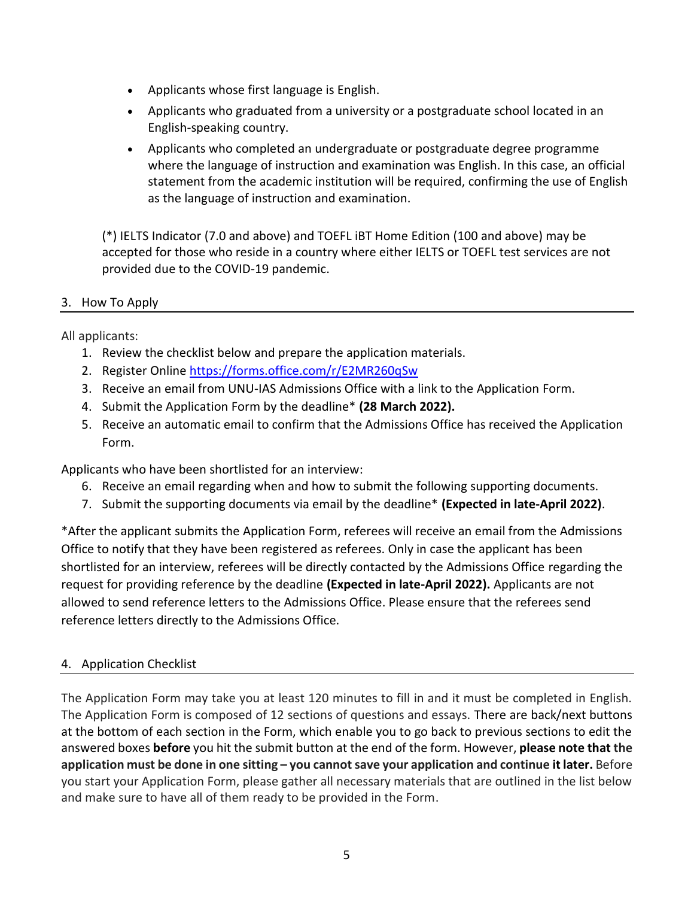- Applicants whose first language is English.
- Applicants who graduated from a university or a postgraduate school located in an English-speaking country.
- Applicants who completed an undergraduate or postgraduate degree programme where the language of instruction and examination was English. In this case, an official statement from the academic institution will be required, confirming the use of English as the language of instruction and examination.

(\*) IELTS Indicator (7.0 and above) and TOEFL iBT Home Edition (100 and above) may be accepted for those who reside in a country where either IELTS or TOEFL test services are not provided due to the COVID-19 pandemic.

#### 3. How To Apply

All applicants:

- 1. Review the checklist below and prepare the application materials.
- 2. Register Online<https://forms.office.com/r/E2MR260qSw>
- 3. Receive an email from UNU-IAS Admissions Office with a link to the Application Form.
- 4. Submit the Application Form by the deadline\* **(28 March 2022).**
- 5. Receive an automatic email to confirm that the Admissions Office has received the Application Form.

Applicants who have been shortlisted for an interview:

- 6. Receive an email regarding when and how to submit the following supporting documents.
- 7. Submit the supporting documents via email by the deadline\* **(Expected in late-April 2022)**.

\*After the applicant submits the Application Form, referees will receive an email from the Admissions Office to notify that they have been registered as referees. Only in case the applicant has been shortlisted for an interview, referees will be directly contacted by the Admissions Office regarding the request for providing reference by the deadline **(Expected in late-April 2022).** Applicants are not allowed to send reference letters to the Admissions Office. Please ensure that the referees send reference letters directly to the Admissions Office.

#### 4. Application Checklist

The Application Form may take you at least 120 minutes to fill in and it must be completed in English. The Application Form is composed of 12 sections of questions and essays. There are back/next buttons at the bottom of each section in the Form, which enable you to go back to previous sections to edit the answered boxes **before** you hit the submit button at the end of the form. However, **please note that the application must be done in one sitting – you cannot save your application and continue it later.** Before you start your Application Form, please gather all necessary materials that are outlined in the list below and make sure to have all of them ready to be provided in the Form.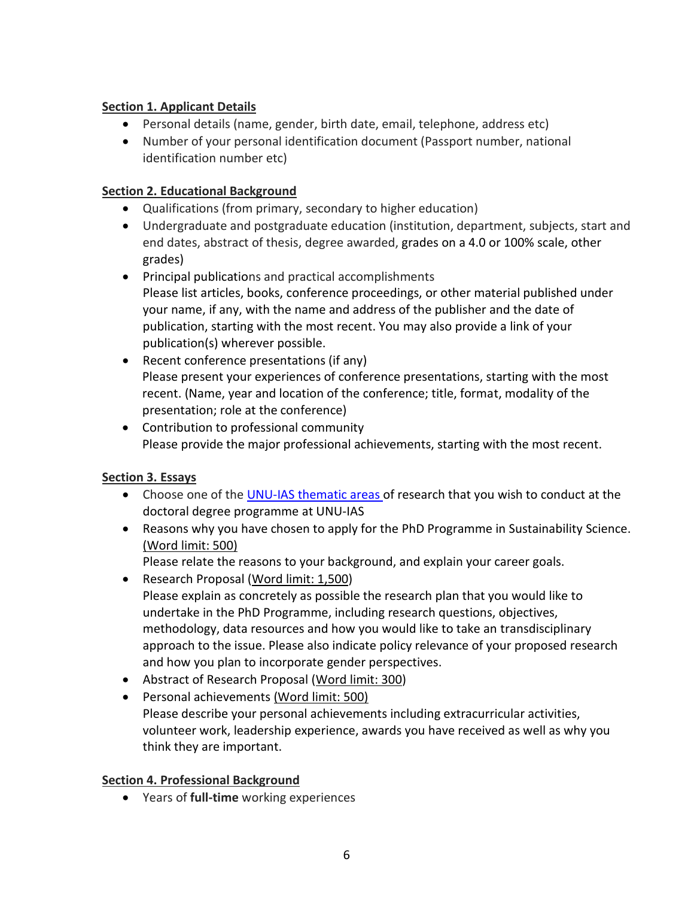## **Section 1. Applicant Details**

- Personal details (name, gender, birth date, email, telephone, address etc)
- Number of your personal identification document (Passport number, national identification number etc)

## **Section 2. Educational Background**

- Qualifications (from primary, secondary to higher education)
- Undergraduate and postgraduate education (institution, department, subjects, start and end dates, abstract of thesis, degree awarded, grades on a 4.0 or 100% scale, other grades)
- Principal publications and practical accomplishments Please list articles, books, conference proceedings, or other material published under your name, if any, with the name and address of the publisher and the date of publication, starting with the most recent. You may also provide a link of your publication(s) wherever possible.
- Recent conference presentations (if any) Please present your experiences of conference presentations, starting with the most recent. (Name, year and location of the conference; title, format, modality of the presentation; role at the conference)
- Contribution to professional community Please provide the major professional achievements, starting with the most recent.

#### **Section 3. Essays**

- Choose one of the [UNU-IAS thematic areas](https://ias.unu.edu/en/about-unu-ias/thematic-areas) of research that you wish to conduct at the doctoral degree programme at UNU-IAS
- Reasons why you have chosen to apply for the PhD Programme in Sustainability Science. (Word limit: 500)

Please relate the reasons to your background, and explain your career goals.

- Research Proposal (Word limit: 1,500) Please explain as concretely as possible the research plan that you would like to undertake in the PhD Programme, including research questions, objectives, methodology, data resources and how you would like to take an transdisciplinary approach to the issue. Please also indicate policy relevance of your proposed research and how you plan to incorporate gender perspectives.
- Abstract of Research Proposal (Word limit: 300)
- Personal achievements (Word limit: 500) Please describe your personal achievements including extracurricular activities, volunteer work, leadership experience, awards you have received as well as why you think they are important.

#### **Section 4. Professional Background**

• Years of **full-time** working experiences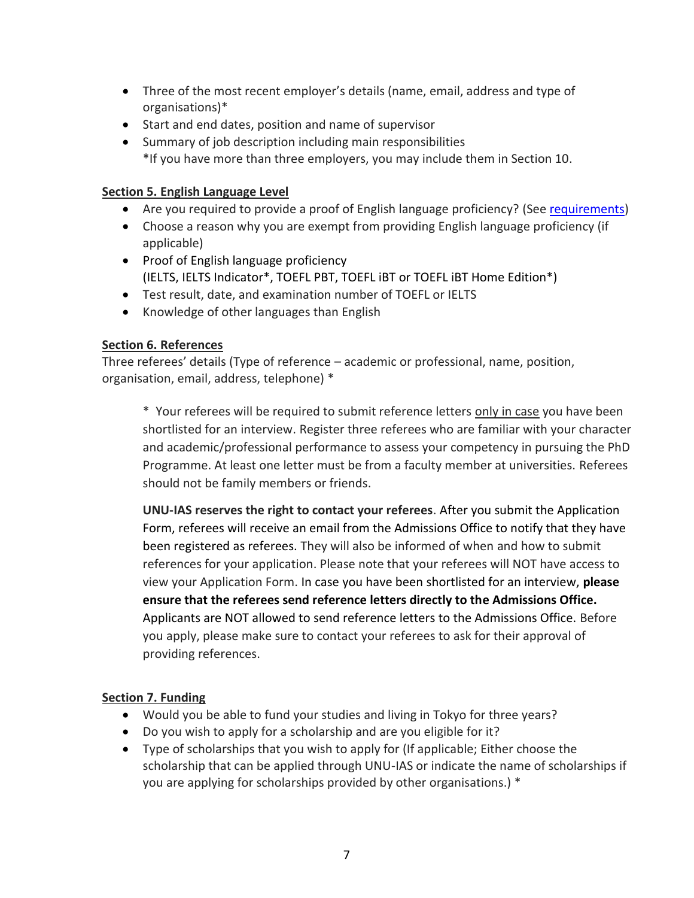- Three of the most recent employer's details (name, email, address and type of organisations)\*
- Start and end dates, position and name of supervisor
- Summary of job description including main responsibilities \*If you have more than three employers, you may include them in Section 10.

#### **Section 5. English Language Level**

- Are you required to provide a proof of English language proficiency? (See [requirements\)](https://ias.unu.edu/en/admissions/degrees/phd-in-sustainability-science-2022.html#requirements)
- Choose a reason why you are exempt from providing English language proficiency (if applicable)
- Proof of English language proficiency (IELTS, IELTS Indicator\*, TOEFL PBT, TOEFL iBT or TOEFL iBT Home Edition\*)
- Test result, date, and examination number of TOEFL or IELTS
- Knowledge of other languages than English

#### **Section 6. References**

Three referees' details (Type of reference – academic or professional, name, position, organisation, email, address, telephone) \*

\* Your referees will be required to submit reference letters only in case you have been shortlisted for an interview. Register three referees who are familiar with your character and academic/professional performance to assess your competency in pursuing the PhD Programme. At least one letter must be from a faculty member at universities. Referees should not be family members or friends.

**UNU-IAS reserves the right to contact your referees**. After you submit the Application Form, referees will receive an email from the Admissions Office to notify that they have been registered as referees. They will also be informed of when and how to submit references for your application. Please note that your referees will NOT have access to view your Application Form. In case you have been shortlisted for an interview, **please ensure that the referees send reference letters directly to the Admissions Office.** Applicants are NOT allowed to send reference letters to the Admissions Office. Before you apply, please make sure to contact your referees to ask for their approval of providing references.

#### **Section 7. Funding**

- Would you be able to fund your studies and living in Tokyo for three years?
- Do you wish to apply for a scholarship and are you eligible for it?
- Type of scholarships that you wish to apply for (If applicable; Either choose the scholarship that can be applied through UNU-IAS or indicate the name of scholarships if you are applying for scholarships provided by other organisations.) \*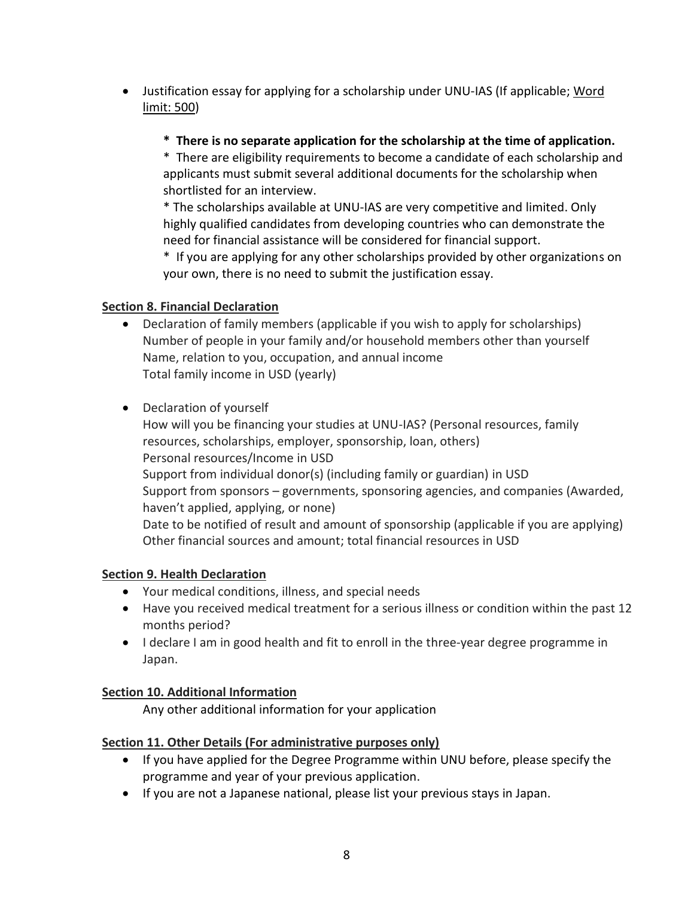- Justification essay for applying for a scholarship under UNU-IAS (If applicable; Word limit: 500)
	- **\* There is no separate application for the scholarship at the time of application.**

\* There are eligibility requirements to become a candidate of each scholarship and applicants must submit several additional documents for the scholarship when shortlisted for an interview.

\* The scholarships available at UNU-IAS are very competitive and limited. Only highly qualified candidates from developing countries who can demonstrate the need for financial assistance will be considered for financial support.

\* If you are applying for any other scholarships provided by other organizations on your own, there is no need to submit the justification essay.

# **Section 8. Financial Declaration**

- Declaration of family members (applicable if you wish to apply for scholarships) Number of people in your family and/or household members other than yourself Name, relation to you, occupation, and annual income Total family income in USD (yearly)
- Declaration of yourself

How will you be financing your studies at UNU-IAS? (Personal resources, family resources, scholarships, employer, sponsorship, loan, others) Personal resources/Income in USD Support from individual donor(s) (including family or guardian) in USD Support from sponsors – governments, sponsoring agencies, and companies (Awarded, haven't applied, applying, or none) Date to be notified of result and amount of sponsorship (applicable if you are applying) Other financial sources and amount; total financial resources in USD

# **Section 9. Health Declaration**

- Your medical conditions, illness, and special needs
- Have you received medical treatment for a serious illness or condition within the past 12 months period?
- I declare I am in good health and fit to enroll in the three-year degree programme in Japan.

#### **Section 10. Additional Information**

Any other additional information for your application

#### **Section 11. Other Details (For administrative purposes only)**

- If you have applied for the Degree Programme within UNU before, please specify the programme and year of your previous application.
- If you are not a Japanese national, please list your previous stays in Japan.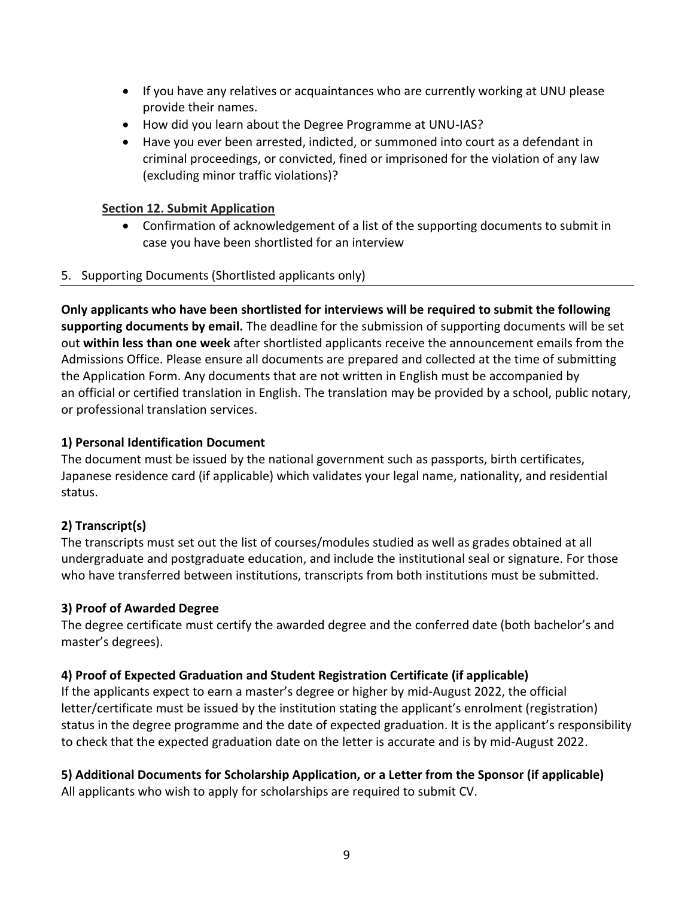- If you have any relatives or acquaintances who are currently working at UNU please provide their names.
- How did you learn about the Degree Programme at UNU-IAS?
- Have you ever been arrested, indicted, or summoned into court as a defendant in criminal proceedings, or convicted, fined or imprisoned for the violation of any law (excluding minor traffic violations)?

## **Section 12. Submit Application**

• Confirmation of acknowledgement of a list of the supporting documents to submit in case you have been shortlisted for an interview

#### 5. Supporting Documents (Shortlisted applicants only)

**Only applicants who have been shortlisted for interviews will be required to submit the following supporting documents by email.** The deadline for the submission of supporting documents will be set out **within less than one week** after shortlisted applicants receive the announcement emails from the Admissions Office. Please ensure all documents are prepared and collected at the time of submitting the Application Form. Any documents that are not written in English must be accompanied by an official or certified translation in English. The translation may be provided by a school, public notary, or professional translation services.

## **1) Personal Identification Document**

The document must be issued by the national government such as passports, birth certificates, Japanese residence card (if applicable) which validates your legal name, nationality, and residential status.

# **2) Transcript(s)**

The transcripts must set out the list of courses/modules studied as well as grades obtained at all undergraduate and postgraduate education, and include the institutional seal or signature. For those who have transferred between institutions, transcripts from both institutions must be submitted.

# **3) Proof of Awarded Degree**

The degree certificate must certify the awarded degree and the conferred date (both bachelor's and master's degrees).

# **4) Proof of Expected Graduation and Student Registration Certificate (if applicable)**

If the applicants expect to earn a master's degree or higher by mid-August 2022, the official letter/certificate must be issued by the institution stating the applicant's enrolment (registration) status in the degree programme and the date of expected graduation. It is the applicant's responsibility to check that the expected graduation date on the letter is accurate and is by mid-August 2022.

# **5) Additional Documents for Scholarship Application, or a Letter from the Sponsor (if applicable)**

All applicants who wish to apply for scholarships are required to submit CV.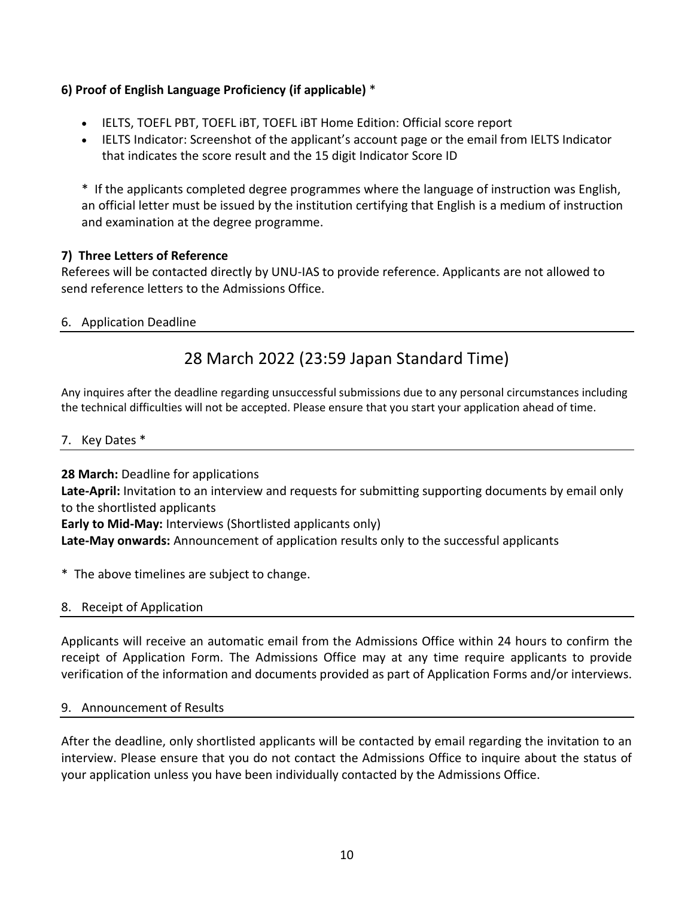## **6) Proof of English Language Proficiency (if applicable)** \*

- IELTS, TOEFL PBT, TOEFL iBT, TOEFL iBT Home Edition: Official score report
- IELTS Indicator: Screenshot of the applicant's account page or the email from IELTS Indicator that indicates the score result and the 15 digit Indicator Score ID

\* If the applicants completed degree programmes where the language of instruction was English, an official letter must be issued by the institution certifying that English is a medium of instruction and examination at the degree programme.

#### **7) Three Letters of Reference**

Referees will be contacted directly by UNU-IAS to provide reference. Applicants are not allowed to send reference letters to the Admissions Office.

## 6. Application Deadline

# 28 March 2022 (23:59 Japan Standard Time)

Any inquires after the deadline regarding unsuccessful submissions due to any personal circumstances including the technical difficulties will not be accepted. Please ensure that you start your application ahead of time.

#### 7. Key Dates \*

**28 March:** Deadline for applications **Late-April:** Invitation to an interview and requests for submitting supporting documents by email only to the shortlisted applicants **Early to Mid-May:** Interviews (Shortlisted applicants only) **Late-May onwards:** Announcement of application results only to the successful applicants

\* The above timelines are subject to change.

#### 8. Receipt of Application

Applicants will receive an automatic email from the Admissions Office within 24 hours to confirm the receipt of Application Form. The Admissions Office may at any time require applicants to provide verification of the information and documents provided as part of Application Forms and/or interviews.

#### 9. Announcement of Results

After the deadline, only shortlisted applicants will be contacted by email regarding the invitation to an interview. Please ensure that you do not contact the Admissions Office to inquire about the status of your application unless you have been individually contacted by the Admissions Office.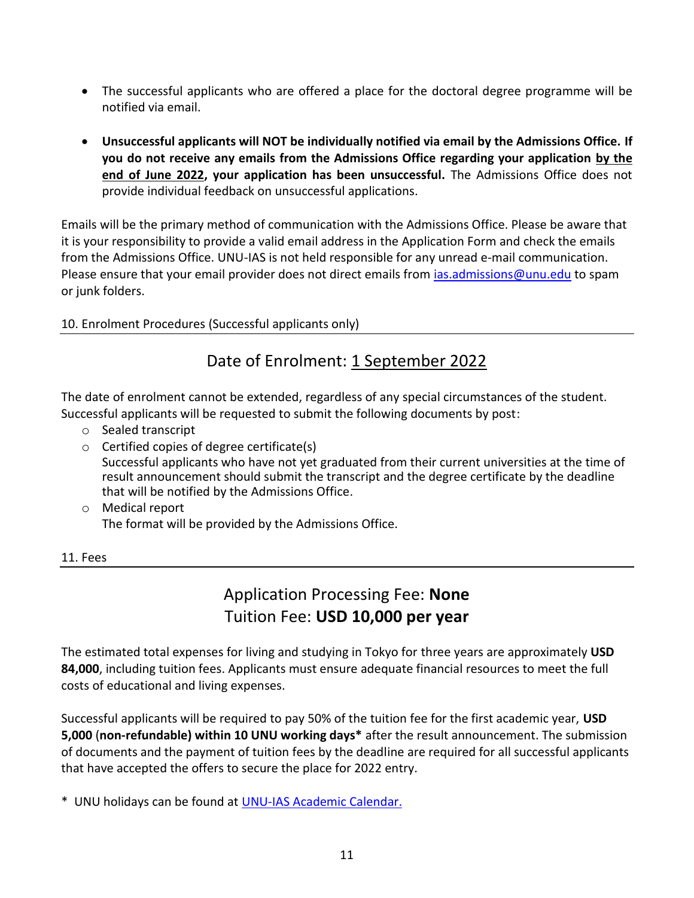- The successful applicants who are offered a place for the doctoral degree programme will be notified via email.
- **Unsuccessful applicants will NOT be individually notified via email by the Admissions Office. If you do not receive any emails from the Admissions Office regarding your application by the end of June 2022, your application has been unsuccessful.** The Admissions Office does not provide individual feedback on unsuccessful applications.

Emails will be the primary method of communication with the Admissions Office. Please be aware that it is your responsibility to provide a valid email address in the Application Form and check the emails from the Admissions Office. UNU-IAS is not held responsible for any unread e-mail communication. Please ensure that your email provider does not direct emails from *ias.admissions@unu.edu* to spam or junk folders.

## 10. Enrolment Procedures (Successful applicants only)

# Date of Enrolment: 1 September 2022

The date of enrolment cannot be extended, regardless of any special circumstances of the student. Successful applicants will be requested to submit the following documents by post:

- o Sealed transcript
- o Certified copies of degree certificate(s) Successful applicants who have not yet graduated from their current universities at the time of result announcement should submit the transcript and the degree certificate by the deadline that will be notified by the Admissions Office.
- o Medical report The format will be provided by the Admissions Office.

#### 11. Fees

# Application Processing Fee: **None** Tuition Fee: **USD 10,000 per year**

The estimated total expenses for living and studying in Tokyo for three years are approximately **USD 84,000**, including tuition fees. Applicants must ensure adequate financial resources to meet the full costs of educational and living expenses.

Successful applicants will be required to pay 50% of the tuition fee for the first academic year, **USD 5,000** (**non-refundable) within 10 UNU working days\*** after the result announcement. The submission of documents and the payment of tuition fees by the deadline are required for all successful applicants that have accepted the offers to secure the place for 2022 entry.

\* UNU holidays can be found at [UNU-IAS Academic Calendar.](http://ias.unu.edu/en/academic-calendar)